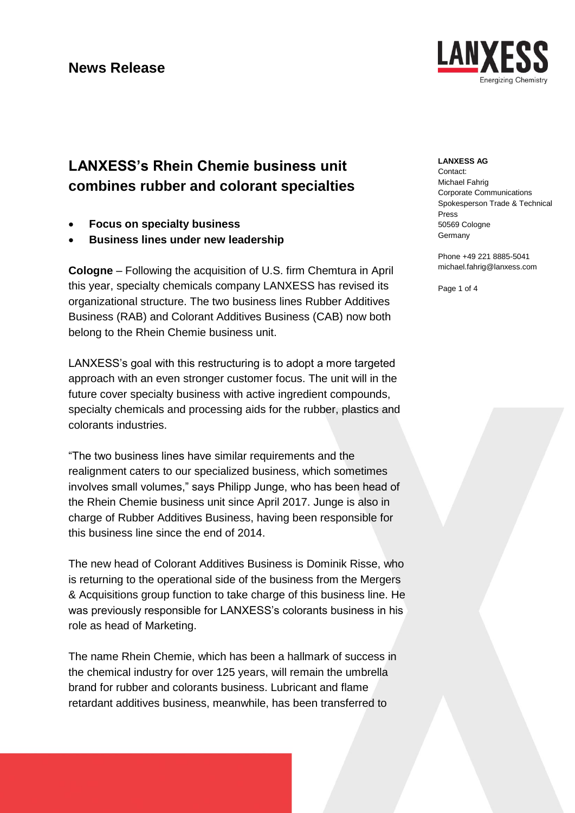

# **LANXESS's Rhein Chemie business unit combines rubber and colorant specialties**

- **Focus on specialty business**
- **Business lines under new leadership**

**Cologne** – Following the acquisition of U.S. firm Chemtura in April this year, specialty chemicals company LANXESS has revised its organizational structure. The two business lines Rubber Additives Business (RAB) and Colorant Additives Business (CAB) now both belong to the Rhein Chemie business unit.

LANXESS's goal with this restructuring is to adopt a more targeted approach with an even stronger customer focus. The unit will in the future cover specialty business with active ingredient compounds, specialty chemicals and processing aids for the rubber, plastics and colorants industries.

"The two business lines have similar requirements and the realignment caters to our specialized business, which sometimes involves small volumes," says Philipp Junge, who has been head of the Rhein Chemie business unit since April 2017. Junge is also in charge of Rubber Additives Business, having been responsible for this business line since the end of 2014.

The new head of Colorant Additives Business is Dominik Risse, who is returning to the operational side of the business from the Mergers & Acquisitions group function to take charge of this business line. He was previously responsible for LANXESS's colorants business in his role as head of Marketing.

The name Rhein Chemie, which has been a hallmark of success in the chemical industry for over 125 years, will remain the umbrella brand for rubber and colorants business. Lubricant and flame retardant additives business, meanwhile, has been transferred to

#### **LANXESS AG**

Contact: Michael Fahrig Corporate Communications Spokesperson Trade & Technical Press 50569 Cologne **Germany** 

Phone +49 221 8885-5041 michael.fahrig@lanxess.com

Page 1 of 4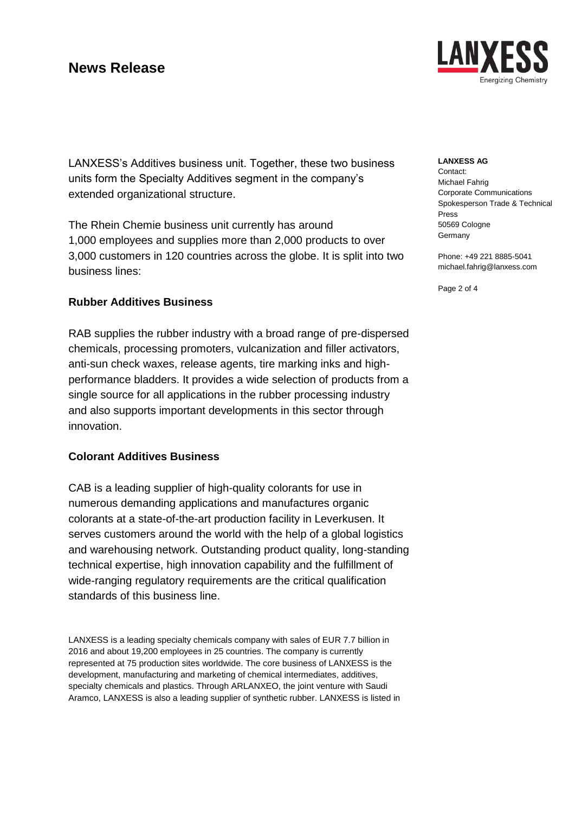

**LANXESS AG**

Contact: Michael Fahrig Corporate Communications Spokesperson Trade & Technical Press 50569 Cologne **Germany** 

Phone: +49 221 8885-5041 michael.fahrig@lanxess.com

Page 2 of 4

LANXESS's Additives business unit. Together, these two business units form the Specialty Additives segment in the company's extended organizational structure.

The Rhein Chemie business unit currently has around 1,000 employees and supplies more than 2,000 products to over 3,000 customers in 120 countries across the globe. It is split into two business lines:

### **Rubber Additives Business**

RAB supplies the rubber industry with a broad range of pre-dispersed chemicals, processing promoters, vulcanization and filler activators, anti-sun check waxes, release agents, tire marking inks and highperformance bladders. It provides a wide selection of products from a single source for all applications in the rubber processing industry and also supports important developments in this sector through innovation.

## **Colorant Additives Business**

CAB is a leading supplier of high-quality colorants for use in numerous demanding applications and manufactures organic colorants at a state-of-the-art production facility in Leverkusen. It serves customers around the world with the help of a global logistics and warehousing network. Outstanding product quality, long-standing technical expertise, high innovation capability and the fulfillment of wide-ranging regulatory requirements are the critical qualification standards of this business line.

LANXESS is a leading specialty chemicals company with sales of EUR 7.7 billion in 2016 and about 19,200 employees in 25 countries. The company is currently represented at 75 production sites worldwide. The core business of LANXESS is the development, manufacturing and marketing of chemical intermediates, additives, specialty chemicals and plastics. Through ARLANXEO, the joint venture with Saudi Aramco, LANXESS is also a leading supplier of synthetic rubber. LANXESS is listed in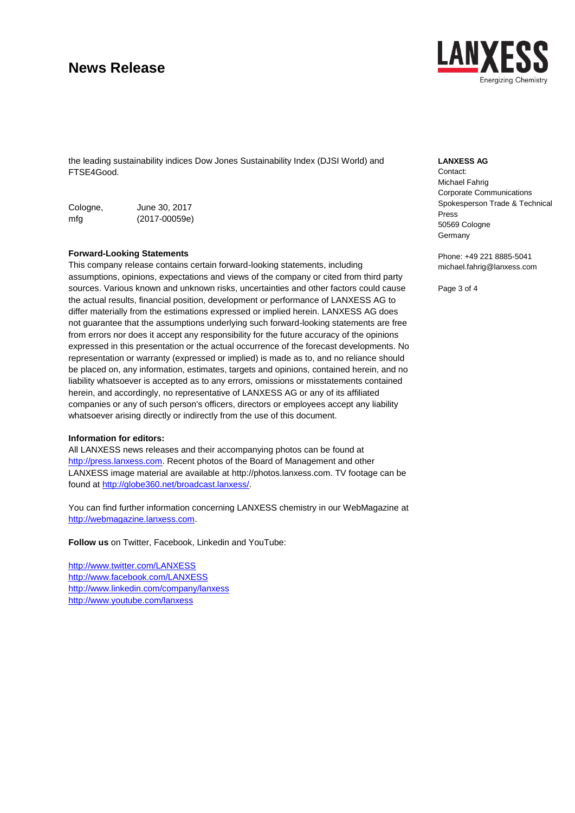# **News Release**

the leading sustainability indices Dow Jones Sustainability Index (DJSI World) and FTSE4Good.

| Cologne, | June 30, 2017     |
|----------|-------------------|
| mfg      | $(2017 - 00059e)$ |

#### **Forward-Looking Statements**

This company release contains certain forward-looking statements, including assumptions, opinions, expectations and views of the company or cited from third party sources. Various known and unknown risks, uncertainties and other factors could cause the actual results, financial position, development or performance of LANXESS AG to differ materially from the estimations expressed or implied herein. LANXESS AG does not guarantee that the assumptions underlying such forward-looking statements are free from errors nor does it accept any responsibility for the future accuracy of the opinions expressed in this presentation or the actual occurrence of the forecast developments. No representation or warranty (expressed or implied) is made as to, and no reliance should be placed on, any information, estimates, targets and opinions, contained herein, and no liability whatsoever is accepted as to any errors, omissions or misstatements contained herein, and accordingly, no representative of LANXESS AG or any of its affiliated companies or any of such person's officers, directors or employees accept any liability whatsoever arising directly or indirectly from the use of this document.

#### **Information for editors:**

All LANXESS news releases and their accompanying photos can be found at [http://press.lanxess.com.](http://press.lanxess.com/) Recent photos of the Board of Management and other LANXESS image material are available at [http://photos.lanxess.com.](http://photos.lanxess.com/) TV footage can be found at [http://globe360.net/broadcast.lanxess/.](http://globe360.net/broadcast.lanxess/)

You can find further information concerning LANXESS chemistry in our WebMagazine at [http://webmagazine.lanxess.com.](http://webmagazine.lanxess.com/)

**Follow us** on Twitter, Facebook, Linkedin and YouTube:

<http://www.twitter.com/LANXESS> <http://www.facebook.com/LANXESS> <http://www.linkedin.com/company/lanxess> <http://www.youtube.com/lanxess>



#### **LANXESS AG**

Contact: Michael Fahrig Corporate Communications Spokesperson Trade & Technical Press 50569 Cologne **Germany** 

Phone: +49 221 8885-5041 michael.fahrig@lanxess.com

Page 3 of 4